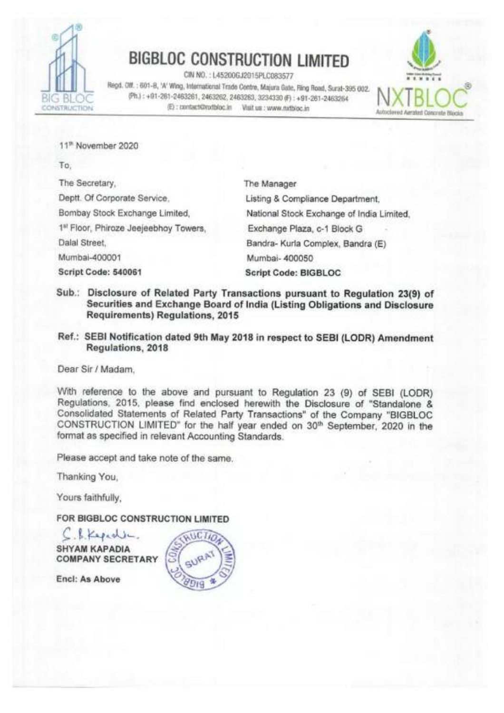

CIN NO. : L45200GJ2015PLC083577<br>Regd. Off. : 601-8, 'A' Wing, International Trade Centre, Majura Gate, Ring Road, Surat-395 002.  $\overline{B}$   $\overline{C}$   $\overline{B}$   $\overline{C}$   $\overline{P}$ h.) : +91-261-2463261, 2463262, 2463263, 3234330 (F) : +91-261-2463264<br>  $\overline{C}$ C: Exertantistic lin Wait us : www.nythinc.in CONSTRUCTION {E): contact@nxtbloc.in Visit us : www.nxtbloc.in Autoclaved Aerated Concrete Blocks



11" November 2020

To,

The Secretary, The Manager Deptt. Of Corporate Service, Listing & Compliance Department, Bombay Stock Exchange Limited, National Stock Exchange of India Limited, 1§' Floor, Phiroze Jeejeebhoy Towers, Exchange Plaza, c-1 Block G Dalal Street, Bandra- Kurla Complex, Bandra (E) Mumbai-400001 Mumbai- 400050 Script Code: 540061 Script Code: BIGBLOC

- Sub.: Disclosure of Related Party Transactions pursuant to Regulation 23(9) of Securities and Exchange Board of India (Listing Obligations and Disclosure Requirements) Regulations, 2015
- Ref.: SEBI Notification dated 9th May 2018 in respect to SEBI (LODR) Amendment Regulations, 2018

Dear Sir / Madam,

With reference to the above and pursuant to Regulation 23 (9) of SEBI (LODR) Regulations, 2015, please find enclosed herewith the Disclosure of "Standalone & Consolidated Statements of Related Party Transactions" of the Company "BIGBLOC CONSTRUCTION LIMITED" for the half year ended on 30" September, 2020 in the format as specified in relevant Accounting Standards.

Please accept and take note of the same.

Thanking You,

Yours faithfully,

FOR BIGBLOC CONSTRUCTION LIMITED

C. S. Kepedia. SHYAM KAPADIA **COMPANY SECRETARY** 

Encl: As Above

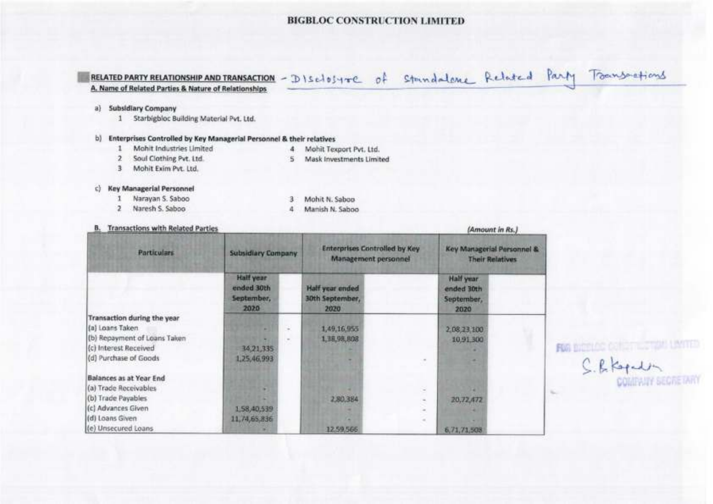# RELATED PARTY RELATIONSHIP AND TRANSACTION - DISELOSYTE of Standalone Related Party Toansactions

(Amount in Rs.)

### a) Subsidiary Company

1 Starbigbloc Building Material Pvt. Ltd.

### b) Enterprises Controlled by Key Managerial Personnel & their relatives

 $\mathbf{1}$ Mohit Industries Limited 4 Mohit Texport Pvt, Ltd.

- 2 Soul Clothing Pvt. Ltd.
- 3 Mohit Exim Pvt. Ltd.

5 Mask Investments Limited

### c) Key Managerial Personnel

- 1 Narayan S. Saboo
- 2 Naresh S. Saboo

3 Mohit N. Saboo 4. Manish N. Saboo

### **B.** Transactions with Related Parties

| <b>Particulars</b>           | Subsidiary Company.                           |        | <b>Enterprises Controlled by Key</b><br>Management personnel |        | Key Managerial Personnel &<br><b>Their Relatives</b> |  |
|------------------------------|-----------------------------------------------|--------|--------------------------------------------------------------|--------|------------------------------------------------------|--|
|                              | Half year<br>ended 30th<br>September,<br>2020 |        | Half year ended<br>30th September,<br>2020                   |        | <b>Half year</b><br>ended 30th<br>September,<br>2020 |  |
| Transaction during the year  |                                               |        |                                                              |        |                                                      |  |
| (a) Loans Taken              |                                               | $\sim$ | 1,49,16,955                                                  |        | 2,08,23,100                                          |  |
| (b) Repayment of Loans Taken |                                               |        | 1, 18, 98, 808                                               |        | 10,91,300                                            |  |
| (c) Interest Received        | 34,21,335                                     |        |                                                              |        |                                                      |  |
| (d) Purchase of Goods        | 1,25,46,993                                   |        |                                                              |        |                                                      |  |
| Balances as at Year End      |                                               |        |                                                              |        |                                                      |  |
| (a) Trade Receivables        |                                               |        |                                                              | $\sim$ |                                                      |  |
| (b) Trade Payables           |                                               |        | 2,80,384                                                     |        | 20,72,472                                            |  |
| (c) Advances Given           | 1,58,40,539                                   |        |                                                              |        |                                                      |  |
| (d) Loans Given              | 11, 74, 65, 836                               |        |                                                              |        |                                                      |  |
| (e) Unsecured Loans          |                                               |        | 12,59,566                                                    |        | 6,71,71,508                                          |  |

FOR DICTION CONTINUES ON LAYING

S. R. Kopula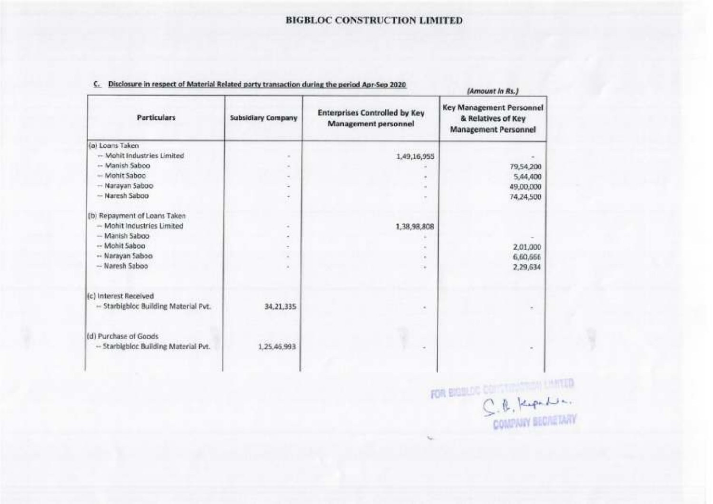|                                                                                                                                            |                               | <b>BIGBLOC CONSTRUCTION LIMITED</b>                          |                                                                          |
|--------------------------------------------------------------------------------------------------------------------------------------------|-------------------------------|--------------------------------------------------------------|--------------------------------------------------------------------------|
| Disclosure in respect of Material Related party transaction during the period Apr-Sep 2020<br>c.                                           |                               |                                                              |                                                                          |
| <b>Particulars</b>                                                                                                                         | <b>Subsidiary Company</b>     | <b>Enterprises Controlled by Key</b><br>Management personnel | (Amount In Rs.)<br><b>Key Management Personnel</b><br>& Relatives of Key |
|                                                                                                                                            |                               |                                                              | <b>Management Personnel</b>                                              |
| -- Mohit Industries Limited                                                                                                                | $\sim$                        | 1,49,16,955                                                  |                                                                          |
| - Manish Saboo                                                                                                                             |                               |                                                              | 79,54,200                                                                |
| - Mohit Saboo                                                                                                                              | $\sim$                        |                                                              | 5,44,400                                                                 |
| - Narayan Saboo<br>- Naresh Saboo                                                                                                          | $\overline{\phantom{a}}$<br>٠ |                                                              | 49,00,000<br>74,24,500                                                   |
|                                                                                                                                            |                               |                                                              |                                                                          |
| - Mohit Industries Limited                                                                                                                 | $\sim$                        | 1,38,98,808                                                  |                                                                          |
| - Manish Saboo                                                                                                                             | ۰                             | $\frac{1}{2}$                                                |                                                                          |
| -- Mohit Saboo                                                                                                                             | ÷<br>$\overline{a}$           | ×<br>۰                                                       | 2,01,000                                                                 |
| -- Narayan Saboo<br>- Naresh Saboo                                                                                                         |                               | $\scriptstyle\star$                                          | 6,60,666<br>2,29,634                                                     |
|                                                                                                                                            |                               |                                                              |                                                                          |
| - Starbigbloc Building Material Pvt.                                                                                                       | 34,21,335                     | $\equiv$                                                     |                                                                          |
|                                                                                                                                            |                               |                                                              |                                                                          |
| (a) Loans Taken<br>(b) Repayment of Loans Taken<br>(c) Interest Received<br>(d) Purchase of Goods<br>-- Starbigbloc Building Material Pvt. | 1,25,46,993                   |                                                              | $\blacksquare$                                                           |

### C. Disclosure in respect of Material Related party transaction during the period Apr-Sep 2020

ı

 $C.8$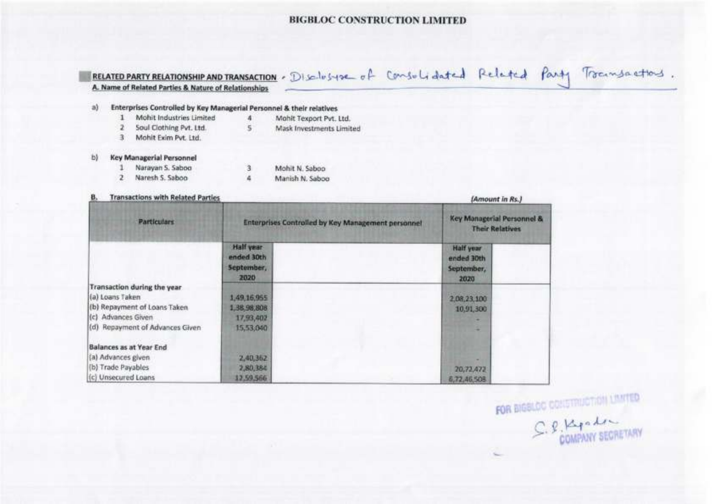|    |                                                                                                             |                                               | RELATED PARTY RELATIONSHIP AND TRANSACTION . Disclusive of Consulidated Related Party Transactions |                                                      |  |
|----|-------------------------------------------------------------------------------------------------------------|-----------------------------------------------|----------------------------------------------------------------------------------------------------|------------------------------------------------------|--|
|    | A. Name of Related Parties & Nature of Relationships                                                        |                                               |                                                                                                    |                                                      |  |
| a) | Enterprises Controlled by Key Managerial Personnel & their relatives                                        |                                               |                                                                                                    |                                                      |  |
|    | Mohit Industries Limited                                                                                    | x                                             | Mahit Texport Pvt. Ltd.                                                                            |                                                      |  |
|    | Soul Clothing Pvt. Ltd.                                                                                     | 5                                             | Mask Investments Limited                                                                           |                                                      |  |
|    | Mohit Exim Pvt. Ltd.<br>з                                                                                   |                                               |                                                                                                    |                                                      |  |
| b) | Key Managerial Personnel                                                                                    |                                               |                                                                                                    |                                                      |  |
|    | Narayan S. Saboo                                                                                            | 3                                             | Mohit N. Saboo                                                                                     |                                                      |  |
|    | Naresh S. Saboo                                                                                             | a                                             | Manish N. Saboo                                                                                    |                                                      |  |
|    | <b>Transactions with Related Parties</b>                                                                    |                                               |                                                                                                    | (Amount in Rs.)                                      |  |
|    | <b>Particulars</b>                                                                                          |                                               | Enterprises Controlled by Key Management personnel                                                 | Key Managerial Personnel &<br><b>Their Relatives</b> |  |
|    |                                                                                                             | Half year<br>anded 30th<br>September,<br>2020 |                                                                                                    | <b>Half</b> year<br>ended 30th<br>September,<br>2020 |  |
|    | <b>Transaction during the year</b><br>(a) Loans Taken<br>(b) Repayment of Loans Taken<br>(c) Advances Given | 1,49,16,955<br>1,38,98,808<br>17,93,402       |                                                                                                    | 2,08,23,100<br>10,91,300                             |  |
|    | (d) Repayment of Advances Given<br>Balances as at Year End<br>(a) Advances given<br>(b) Trade Payables      | 15,53,040<br>2,40,352<br>2,80,384             |                                                                                                    | 20,72,472                                            |  |
|    | (c) Unsecured Loans                                                                                         | 12,59,566                                     |                                                                                                    | 6,72,46,508                                          |  |

FOR BIGSLOC CONSTRUCTION UNITED